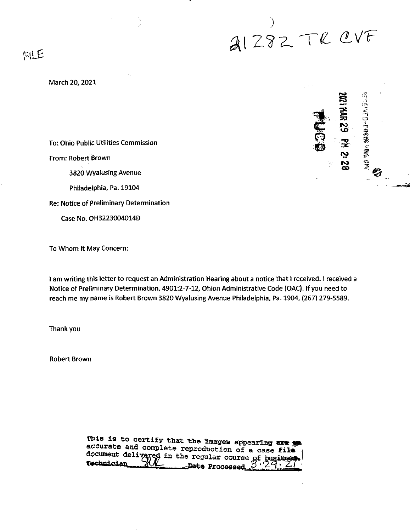*^lZ?Z.'Te. tlVF*

**I**<br> **I**<br>
INR<br>
29

**CD**

tD

第<br>1

2

S

*PllB*

## March 20,2021

To: Ohio Public Utilities Commission

From: Robert Brown

3820 Wyalusing Avenue

Philadelphia, Pa. 19104

Re: Notice of Preliminary Determination

Case No. OH3223004014D

To Whom it May Concern:

I am writing this letter to request an Administration Hearing about a notice that I received. I received a Notice of Preliminary Determination, 4901:2-7-12, Ohion Administrative Code (OAC). If you need to reach me my name is Robert Brown 3820 Wyalusing Avenue Philadelphia, Pa. 1904, (267) 279-5589.

Thank you

Robert Brown

| fnis is to certity that the images appearing are go<br>accurate and complete reproduction of a case file $\frac{1}{3}$ |
|------------------------------------------------------------------------------------------------------------------------|
| document delivered in the regular course of business.                                                                  |
|                                                                                                                        |
|                                                                                                                        |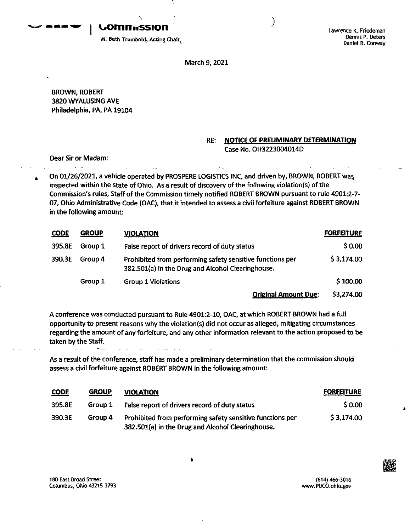**uomnnssion**

Lawrence K. Friedeman Dennis P. Deters Daniel R. Conway

M. Beth Trombold, Acting Chair^

March 9,2021

BROWN, ROBERT 3820WYALUSING AVE Philadelphia, PA, PA 19104

## **RE: NOTICE OF PRELIMINARY DETERMINATION** Case No. OH3223004014D

Dear Sir or Madam:

ال<br>محمد الله - الله - الله - الله -

On 01/26/2021, a vehicle operated by PROSPERE LOGISTICS INC, and driven by, BROWN, ROBERT was inspected within the state of Ohio. As a result of discovery of the following violation(s) of the Commission's rules, Staff ofthe Commission timely notified ROBERT BROWN pursuant to rule 4901:2-7- 07, Ohio Administrative Code (OAC), that it intended to assess a civil forfeiture against ROBERT BROWN in the following amount:

| <b>CODE</b> | <b>GROUP</b> | <b>VIOLATION</b>                                                                                               | <b>FORFEITURE</b> |
|-------------|--------------|----------------------------------------------------------------------------------------------------------------|-------------------|
| 395.8E      | Group 1      | False report of drivers record of duty status                                                                  | \$0.00            |
| 390.3E      | Group 4      | Prohibited from performing safety sensitive functions per<br>382.501(a) in the Drug and Alcohol Clearinghouse. | \$3,174.00        |
|             | Group 1      | <b>Group 1 Violations</b>                                                                                      | \$100.00          |
|             |              | <b>Original Amount Due:</b>                                                                                    | \$3,274.00        |

A conference was conducted pursuant to Rule 4901:2-10, OAC, at which ROBERT BROWN had a full opportunity to present reasons why the violatlon{s) did not occur as alleged, mitigating circumstances regarding the amount of any forfeiture, and any other information relevant to the action proposed to be taken by the Staff.

As a result of the conference, staff has made a preliminary determination that the commission should assess a civil forfeiture against ROBERT BROWN in the following amount:

| <b>CODE</b> | <b>GROUP</b> | <b>VIOLATION</b>                                                                                               | <b>FORFEITURE</b> |
|-------------|--------------|----------------------------------------------------------------------------------------------------------------|-------------------|
| 395.8E      | Group 1      | False report of drivers record of duty status                                                                  | \$0.00            |
| 390.3E      | Group 4      | Prohibited from performing safety sensitive functions per<br>382.501(a) in the Drug and Alcohol Clearinghouse. | \$3,174.00        |

180 East Broad Street Columbus, Ohio 43215-3793

(614) 466-3016 www.PUCO.ohio.gov